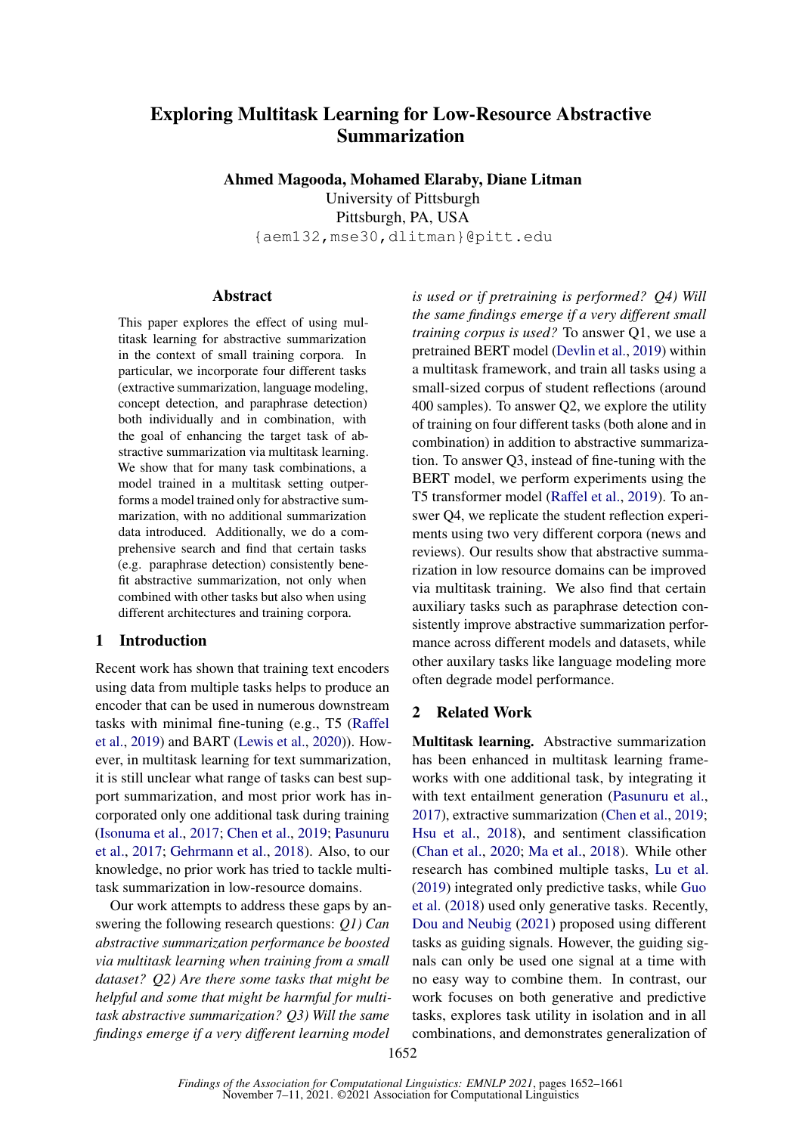# Exploring Multitask Learning for Low-Resource Abstractive Summarization

Ahmed Magooda, Mohamed Elaraby, Diane Litman University of Pittsburgh Pittsburgh, PA, USA {aem132,mse30,dlitman}@pitt.edu

#### Abstract

This paper explores the effect of using multitask learning for abstractive summarization in the context of small training corpora. In particular, we incorporate four different tasks (extractive summarization, language modeling, concept detection, and paraphrase detection) both individually and in combination, with the goal of enhancing the target task of abstractive summarization via multitask learning. We show that for many task combinations, a model trained in a multitask setting outperforms a model trained only for abstractive summarization, with no additional summarization data introduced. Additionally, we do a comprehensive search and find that certain tasks (e.g. paraphrase detection) consistently benefit abstractive summarization, not only when combined with other tasks but also when using different architectures and training corpora.

# <span id="page-0-0"></span>1 Introduction

Recent work has shown that training text encoders using data from multiple tasks helps to produce an encoder that can be used in numerous downstream tasks with minimal fine-tuning (e.g., T5 [\(Raffel](#page-6-0) [et al.,](#page-6-0) [2019\)](#page-6-0) and BART [\(Lewis et al.,](#page-5-0) [2020\)](#page-5-0)). However, in multitask learning for text summarization, it is still unclear what range of tasks can best support summarization, and most prior work has incorporated only one additional task during training [\(Isonuma et al.,](#page-5-1) [2017;](#page-5-1) [Chen et al.,](#page-4-0) [2019;](#page-4-0) [Pasunuru](#page-6-1) [et al.,](#page-6-1) [2017;](#page-6-1) [Gehrmann et al.,](#page-5-2) [2018\)](#page-5-2). Also, to our knowledge, no prior work has tried to tackle multitask summarization in low-resource domains.

Our work attempts to address these gaps by answering the following research questions: *Q1) Can abstractive summarization performance be boosted via multitask learning when training from a small dataset? Q2) Are there some tasks that might be helpful and some that might be harmful for multitask abstractive summarization? Q3) Will the same findings emerge if a very different learning model*

*is used or if pretraining is performed? Q4) Will the same findings emerge if a very different small training corpus is used?* To answer Q1, we use a pretrained BERT model [\(Devlin et al.,](#page-5-3) [2019\)](#page-5-3) within a multitask framework, and train all tasks using a small-sized corpus of student reflections (around 400 samples). To answer Q2, we explore the utility of training on four different tasks (both alone and in combination) in addition to abstractive summarization. To answer Q3, instead of fine-tuning with the BERT model, we perform experiments using the T5 transformer model [\(Raffel et al.,](#page-6-0) [2019\)](#page-6-0). To answer Q4, we replicate the student reflection experiments using two very different corpora (news and reviews). Our results show that abstractive summarization in low resource domains can be improved via multitask training. We also find that certain auxiliary tasks such as paraphrase detection consistently improve abstractive summarization performance across different models and datasets, while other auxilary tasks like language modeling more often degrade model performance.

## 2 Related Work

Multitask learning. Abstractive summarization has been enhanced in multitask learning frameworks with one additional task, by integrating it with text entailment generation [\(Pasunuru et al.,](#page-6-1) [2017\)](#page-6-1), extractive summarization [\(Chen et al.,](#page-4-0) [2019;](#page-4-0) [Hsu et al.,](#page-5-4) [2018\)](#page-5-4), and sentiment classification [\(Chan et al.,](#page-4-1) [2020;](#page-4-1) [Ma et al.,](#page-5-5) [2018\)](#page-5-5). While other research has combined multiple tasks, [Lu et al.](#page-5-6) [\(2019\)](#page-5-6) integrated only predictive tasks, while [Guo](#page-5-7) [et al.](#page-5-7) [\(2018\)](#page-5-7) used only generative tasks. Recently, [Dou and Neubig](#page-5-8) [\(2021\)](#page-5-8) proposed using different tasks as guiding signals. However, the guiding signals can only be used one signal at a time with no easy way to combine them. In contrast, our work focuses on both generative and predictive tasks, explores task utility in isolation and in all combinations, and demonstrates generalization of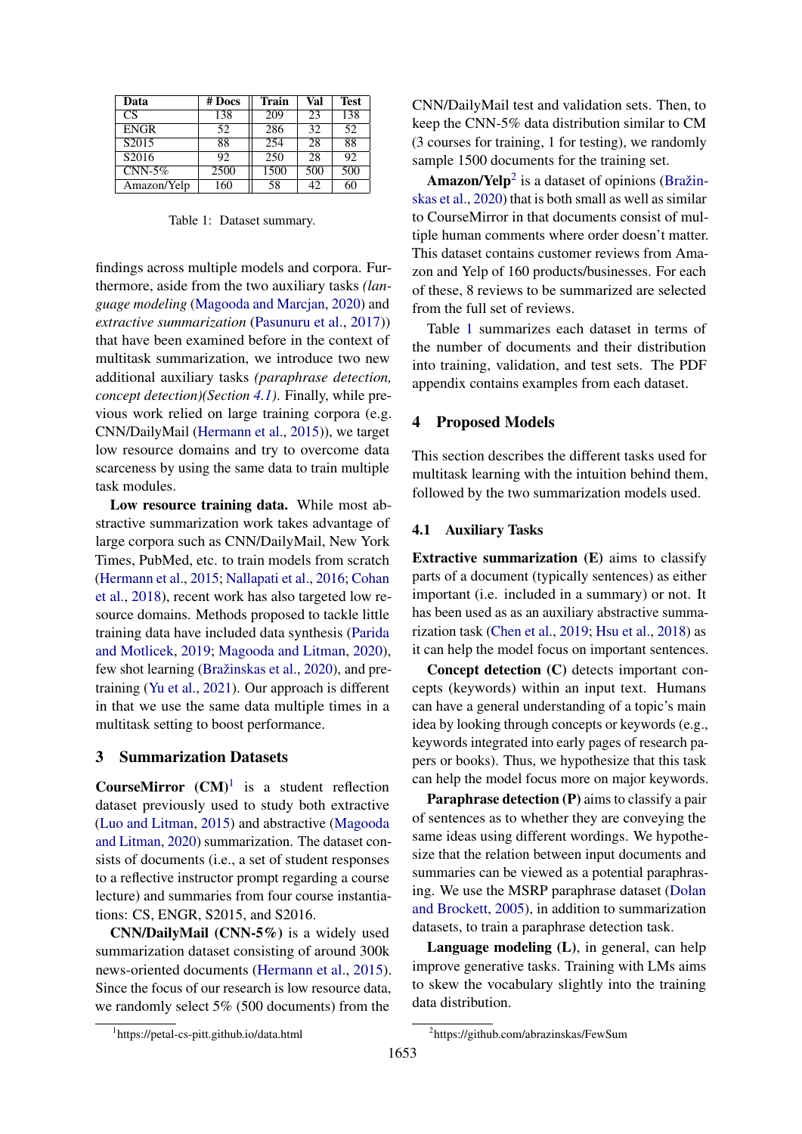<span id="page-1-3"></span>

| Data              | # Docs | <b>Train</b>     | Val | Test |
|-------------------|--------|------------------|-----|------|
| CS                | 138    | 209              | 23  | 138  |
| <b>ENGR</b>       | 52     | 286              | 32  | 52   |
| S <sub>2015</sub> | 88     | 254              | 28  | 88   |
| S2016             | 92     | $\overline{250}$ | 28  | 92   |
| $CNN-5\%$         | 2500   | 1500             | 500 | 500  |
| Amazon/Yelp       | 160    | 58               | 42  | 60   |

Table 1: Dataset summary.

findings across multiple models and corpora. Furthermore, aside from the two auxiliary tasks *(language modeling* [\(Magooda and Marcjan,](#page-5-9) [2020\)](#page-5-9) and *extractive summarization* [\(Pasunuru et al.,](#page-6-1) [2017\)](#page-6-1)) that have been examined before in the context of multitask summarization, we introduce two new additional auxiliary tasks *(paraphrase detection, concept detection)(Section [4.1\)](#page-1-0)*. Finally, while previous work relied on large training corpora (e.g. CNN/DailyMail [\(Hermann et al.,](#page-5-10) [2015\)](#page-5-10)), we target low resource domains and try to overcome data scarceness by using the same data to train multiple task modules.

Low resource training data. While most abstractive summarization work takes advantage of large corpora such as CNN/DailyMail, New York Times, PubMed, etc. to train models from scratch [\(Hermann et al.,](#page-5-10) [2015;](#page-5-10) [Nallapati et al.,](#page-5-11) [2016;](#page-5-11) [Cohan](#page-5-12) [et al.,](#page-5-12) [2018\)](#page-5-12), recent work has also targeted low resource domains. Methods proposed to tackle little training data have included data synthesis [\(Parida](#page-6-2) [and Motlicek,](#page-6-2) [2019;](#page-6-2) [Magooda and Litman,](#page-5-13) [2020\)](#page-5-13), few shot learning [\(Bražinskas et al.,](#page-4-2) [2020\)](#page-4-2), and pretraining [\(Yu et al.,](#page-6-3) [2021\)](#page-6-3). Our approach is different in that we use the same data multiple times in a multitask setting to boost performance.

# 3 Summarization Datasets

**CourseMirror**  $(CM)^1$  $(CM)^1$  is a student reflection dataset previously used to study both extractive [\(Luo and Litman,](#page-5-14) [2015\)](#page-5-14) and abstractive [\(Magooda](#page-5-13) [and Litman,](#page-5-13) [2020\)](#page-5-13) summarization. The dataset consists of documents (i.e., a set of student responses to a reflective instructor prompt regarding a course lecture) and summaries from four course instantiations: CS, ENGR, S2015, and S2016.

CNN/DailyMail (CNN-5%) is a widely used summarization dataset consisting of around 300k news-oriented documents [\(Hermann et al.,](#page-5-10) [2015\)](#page-5-10). Since the focus of our research is low resource data, we randomly select 5% (500 documents) from the

CNN/DailyMail test and validation sets. Then, to keep the CNN-5% data distribution similar to CM (3 courses for training, 1 for testing), we randomly sample 1500 documents for the training set.

Amazon/Yelp<sup>[2](#page-1-2)</sup> is a dataset of opinions [\(Bražin](#page-4-2)[skas et al.,](#page-4-2) [2020\)](#page-4-2) that is both small as well as similar to CourseMirror in that documents consist of multiple human comments where order doesn't matter. This dataset contains customer reviews from Amazon and Yelp of 160 products/businesses. For each of these, 8 reviews to be summarized are selected from the full set of reviews.

Table [1](#page-1-3) summarizes each dataset in terms of the number of documents and their distribution into training, validation, and test sets. The PDF appendix contains examples from each dataset.

#### 4 Proposed Models

This section describes the different tasks used for multitask learning with the intuition behind them, followed by the two summarization models used.

#### <span id="page-1-0"></span>4.1 Auxiliary Tasks

Extractive summarization (E) aims to classify parts of a document (typically sentences) as either important (i.e. included in a summary) or not. It has been used as as an auxiliary abstractive summarization task [\(Chen et al.,](#page-4-0) [2019;](#page-4-0) [Hsu et al.,](#page-5-4) [2018\)](#page-5-4) as it can help the model focus on important sentences.

Concept detection (C) detects important concepts (keywords) within an input text. Humans can have a general understanding of a topic's main idea by looking through concepts or keywords (e.g., keywords integrated into early pages of research papers or books). Thus, we hypothesize that this task can help the model focus more on major keywords.

Paraphrase detection (P) aims to classify a pair of sentences as to whether they are conveying the same ideas using different wordings. We hypothesize that the relation between input documents and summaries can be viewed as a potential paraphrasing. We use the MSRP paraphrase dataset [\(Dolan](#page-5-15) [and Brockett,](#page-5-15) [2005\)](#page-5-15), in addition to summarization datasets, to train a paraphrase detection task.

Language modeling (L), in general, can help improve generative tasks. Training with LMs aims to skew the vocabulary slightly into the training data distribution.

<span id="page-1-1"></span><sup>1</sup> https://petal-cs-pitt.github.io/data.html

<span id="page-1-2"></span><sup>2</sup> https://github.com/abrazinskas/FewSum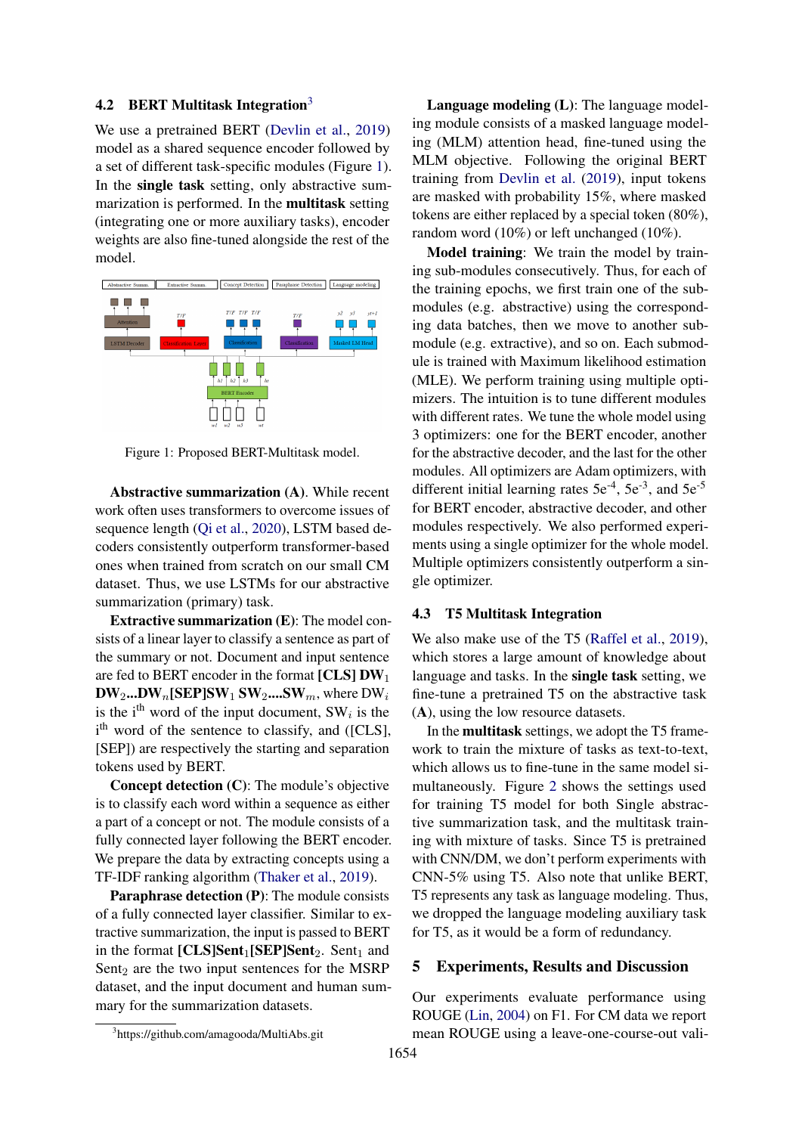# 4.2 BERT Multitask Integration<sup>[3](#page-2-0)</sup>

We use a pretrained BERT [\(Devlin et al.,](#page-5-3) [2019\)](#page-5-3) model as a shared sequence encoder followed by a set of different task-specific modules (Figure [1\)](#page-2-1). In the single task setting, only abstractive summarization is performed. In the multitask setting (integrating one or more auxiliary tasks), encoder weights are also fine-tuned alongside the rest of the model.

<span id="page-2-1"></span>

Figure 1: Proposed BERT-Multitask model.

Abstractive summarization (A). While recent work often uses transformers to overcome issues of sequence length (Oi et al., [2020\)](#page-6-4), LSTM based decoders consistently outperform transformer-based ones when trained from scratch on our small CM dataset. Thus, we use LSTMs for our abstractive summarization (primary) task.

Extractive summarization (E): The model consists of a linear layer to classify a sentence as part of the summary or not. Document and input sentence are fed to BERT encoder in the format  $[CLS] DW_1$  $\mathbf{DW}_2 \dots \mathbf{DW}_n[\textbf{SEP}] \textbf{SW}_1 \textbf{SW}_2 \dots \textbf{SW}_m$ , where  $\textbf{DW}_i$ is the i<sup>th</sup> word of the input document,  $SW_i$  is the i<sup>th</sup> word of the sentence to classify, and ([CLS], [SEP]) are respectively the starting and separation tokens used by BERT.

Concept detection (C): The module's objective is to classify each word within a sequence as either a part of a concept or not. The module consists of a fully connected layer following the BERT encoder. We prepare the data by extracting concepts using a TF-IDF ranking algorithm [\(Thaker et al.,](#page-6-5) [2019\)](#page-6-5).

Paraphrase detection (P): The module consists of a fully connected layer classifier. Similar to extractive summarization, the input is passed to BERT in the format  $[CLS]Sent_1[SEP]Sent_2$ . Sent<sub>1</sub> and Sent $_2$  are the two input sentences for the MSRP dataset, and the input document and human summary for the summarization datasets.

Language modeling (L): The language modeling module consists of a masked language modeling (MLM) attention head, fine-tuned using the MLM objective. Following the original BERT training from [Devlin et al.](#page-5-3) [\(2019\)](#page-5-3), input tokens are masked with probability 15%, where masked tokens are either replaced by a special token (80%), random word (10%) or left unchanged (10%).

Model training: We train the model by training sub-modules consecutively. Thus, for each of the training epochs, we first train one of the submodules (e.g. abstractive) using the corresponding data batches, then we move to another submodule (e.g. extractive), and so on. Each submodule is trained with Maximum likelihood estimation (MLE). We perform training using multiple optimizers. The intuition is to tune different modules with different rates. We tune the whole model using 3 optimizers: one for the BERT encoder, another for the abstractive decoder, and the last for the other modules. All optimizers are Adam optimizers, with different initial learning rates  $5e^{-4}$ ,  $5e^{-3}$ , and  $5e^{-5}$ for BERT encoder, abstractive decoder, and other modules respectively. We also performed experiments using a single optimizer for the whole model. Multiple optimizers consistently outperform a single optimizer.

## <span id="page-2-2"></span>4.3 T5 Multitask Integration

We also make use of the T5 [\(Raffel et al.,](#page-6-0) [2019\)](#page-6-0), which stores a large amount of knowledge about language and tasks. In the single task setting, we fine-tune a pretrained T5 on the abstractive task (A), using the low resource datasets.

In the multitask settings, we adopt the T5 framework to train the mixture of tasks as text-to-text, which allows us to fine-tune in the same model simultaneously. Figure [2](#page-3-0) shows the settings used for training T5 model for both Single abstractive summarization task, and the multitask training with mixture of tasks. Since T5 is pretrained with CNN/DM, we don't perform experiments with CNN-5% using T5. Also note that unlike BERT, T5 represents any task as language modeling. Thus, we dropped the language modeling auxiliary task for T5, as it would be a form of redundancy.

#### 5 Experiments, Results and Discussion

Our experiments evaluate performance using ROUGE [\(Lin,](#page-5-16) [2004\)](#page-5-16) on F1. For CM data we report mean ROUGE using a leave-one-course-out vali-

<span id="page-2-0"></span><sup>3</sup> https://github.com/amagooda/MultiAbs.git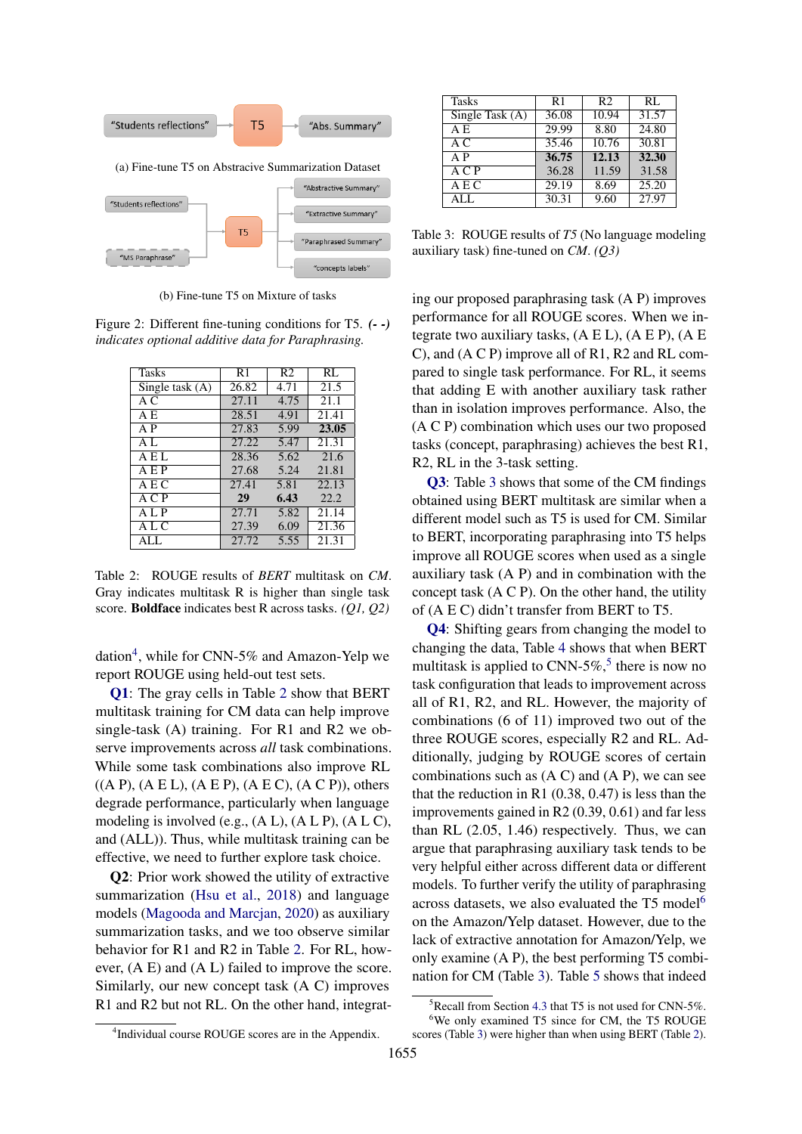<span id="page-3-0"></span>

(b) Fine-tune T5 on Mixture of tasks

Figure 2: Different fine-tuning conditions for T5. *(- -) indicates optional additive data for Paraphrasing.*

<span id="page-3-2"></span>

| Tasks             | R <sub>1</sub>     | R <sub>2</sub> | RL    |
|-------------------|--------------------|----------------|-------|
| Single task $(A)$ | $26.\overline{82}$ | 4.71           | 21.5  |
| АC                | 27.11              | 4.75           | 21.1  |
| A E               | 28.51              | 4.91           | 21.41 |
| A P               | 27.83              | 5.99           | 23.05 |
| AL.               | 27.22              | 5.47           | 21.31 |
| A E L             | 28.36              | 5.62           | 21.6  |
| AEP               | 27.68              | 5.24           | 21.81 |
| AEC               | 27.41              | 5.81           | 22.13 |
| A C P             | 29                 | 6.43           | 22.2  |
| ALP               | 27.71              | 5.82           | 21.14 |
| A L C             | 27.39              | 6.09           | 21.36 |
| ALL.              | 27.72              | 5.55           | 21.31 |

Table 2: ROUGE results of *BERT* multitask on *CM*. Gray indicates multitask R is higher than single task score. Boldface indicates best R across tasks. *(Q1, Q2)*

dation<sup>[4](#page-3-1)</sup>, while for CNN-5% and Amazon-Yelp we report ROUGE using held-out test sets.

[Q1](#page-0-0): The gray cells in Table [2](#page-3-2) show that BERT multitask training for CM data can help improve single-task (A) training. For R1 and R2 we observe improvements across *all* task combinations. While some task combinations also improve RL  $((A P), (A E L), (A E P), (A E C), (A C P)$ , others degrade performance, particularly when language modeling is involved (e.g., (A L), (A L P), (A L C), and (ALL)). Thus, while multitask training can be effective, we need to further explore task choice.

Q2: Prior work showed the utility of extractive summarization [\(Hsu et al.,](#page-5-4) [2018\)](#page-5-4) and language models [\(Magooda and Marcjan,](#page-5-9) [2020\)](#page-5-9) as auxiliary summarization tasks, and we too observe similar behavior for R1 and R2 in Table [2.](#page-3-2) For RL, however, (A E) and (A L) failed to improve the score. Similarly, our new concept task (A C) improves R1 and R2 but not RL. On the other hand, integrat-

<span id="page-3-3"></span>

| <b>Tasks</b>      | R1    | R <sub>2</sub> | RL                 |
|-------------------|-------|----------------|--------------------|
| Single Task $(A)$ | 36.08 | 10.94          | $31.\overline{57}$ |
| A E               | 29.99 | 8.80           | 24.80              |
| A C               | 35.46 | 10.76          | 30.81              |
| A P               | 36.75 | 12.13          | 32.30              |
| A C P             | 36.28 | 11.59          | 31.58              |
| A E C             | 29.19 | 8.69           | 25.20              |
| ALL               | 30.31 | 9.60           | 27.97              |

Table 3: ROUGE results of *T5* (No language modeling auxiliary task) fine-tuned on *CM*. *(Q3)*

ing our proposed paraphrasing task (A P) improves performance for all ROUGE scores. When we integrate two auxiliary tasks,  $(A E L)$ ,  $(A E P)$ ,  $(A E P)$ C), and (A C P) improve all of R1, R2 and RL compared to single task performance. For RL, it seems that adding E with another auxiliary task rather than in isolation improves performance. Also, the (A C P) combination which uses our two proposed tasks (concept, paraphrasing) achieves the best R1, R2, RL in the 3-task setting.

[Q3](#page-0-0): Table [3](#page-3-3) shows that some of the CM findings obtained using BERT multitask are similar when a different model such as T5 is used for CM. Similar to BERT, incorporating paraphrasing into T5 helps improve all ROUGE scores when used as a single auxiliary task (A P) and in combination with the concept task (A C P). On the other hand, the utility of (A E C) didn't transfer from BERT to T5.

[Q4](#page-0-0): Shifting gears from changing the model to changing the data, Table [4](#page-4-3) shows that when BERT multitask is applied to CNN-[5](#page-3-4)%,<sup>5</sup> there is now no task configuration that leads to improvement across all of R1, R2, and RL. However, the majority of combinations (6 of 11) improved two out of the three ROUGE scores, especially R2 and RL. Additionally, judging by ROUGE scores of certain combinations such as  $(A C)$  and  $(A P)$ , we can see that the reduction in R1  $(0.38, 0.47)$  is less than the improvements gained in R2 (0.39, 0.61) and far less than RL (2.05, 1.46) respectively. Thus, we can argue that paraphrasing auxiliary task tends to be very helpful either across different data or different models. To further verify the utility of paraphrasing across datasets, we also evaluated the T5 model<sup>[6](#page-3-5)</sup> on the Amazon/Yelp dataset. However, due to the lack of extractive annotation for Amazon/Yelp, we only examine (A P), the best performing T5 combination for CM (Table [3\)](#page-3-3). Table [5](#page-4-4) shows that indeed

<span id="page-3-5"></span><span id="page-3-4"></span> $5$ Recall from Section [4.3](#page-2-2) that T5 is not used for CNN-5%. <sup>6</sup>We only examined T5 since for CM, the T5 ROUGE

<span id="page-3-1"></span><sup>4</sup> Individual course ROUGE scores are in the Appendix. scores (Table [3\)](#page-3-3) were higher than when using BERT (Table [2\)](#page-3-2).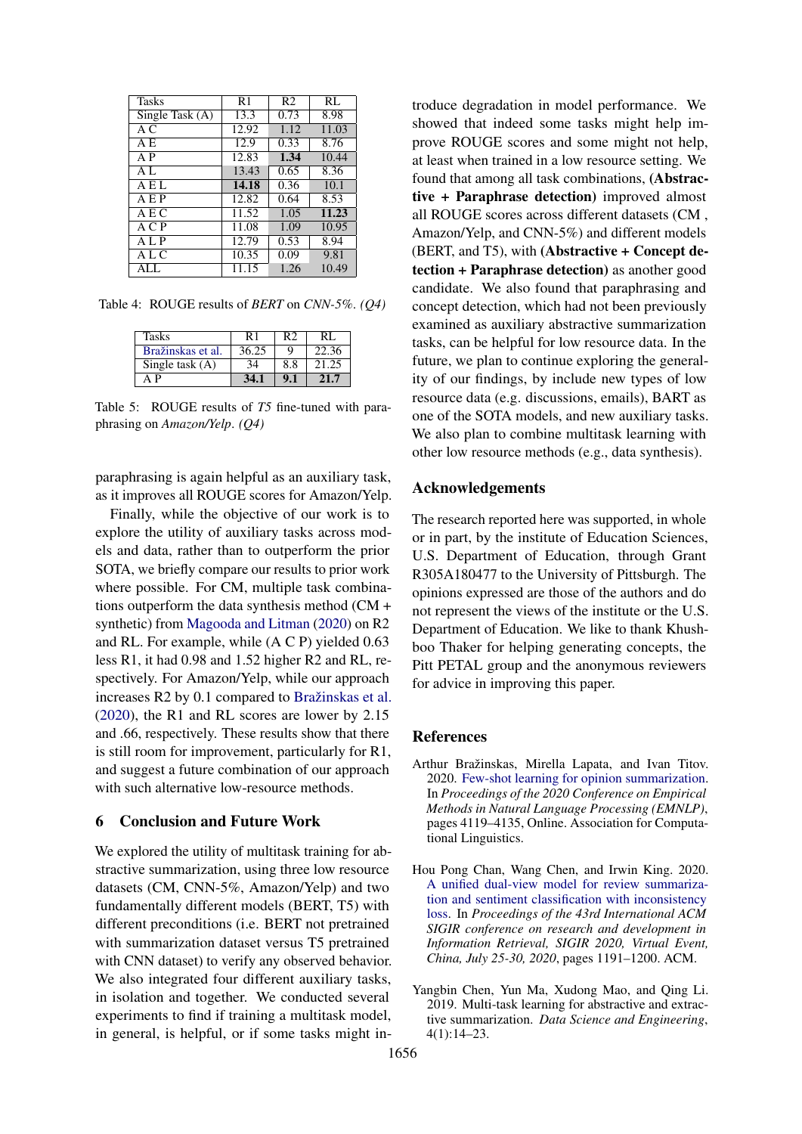<span id="page-4-3"></span>

| Tasks           | R1    | R <sub>2</sub> | RL    |
|-----------------|-------|----------------|-------|
| Single Task (A) | 13.3  | 0.73           | 8.98  |
| A C             | 12.92 | 1.12           | 11.03 |
| A E             | 12.9  | 0.33           | 8.76  |
| A P             | 12.83 | 1.34           | 10.44 |
| A <sub>L</sub>  | 13.43 | 0.65           | 8.36  |
| A E L           | 14.18 | 0.36           | 10.1  |
| AEP             | 12.82 | 0.64           | 8.53  |
| AEC             | 11.52 | 1.05           | 11.23 |
| A C P           | 11.08 | 1.09           | 10.95 |
| A L P           | 12.79 | 0.53           | 8.94  |
| A L C           | 10.35 | 0.09           | 9.81  |
| ALL.            | 11.15 | 1.26           | 10.49 |

<span id="page-4-4"></span>Table 4: ROUGE results of *BERT* on *CNN-5%*. *(Q4)*

| Tasks             | R1    | R2  | RL.   |
|-------------------|-------|-----|-------|
| Bražinskas et al. | 36.25 | O   | 22.36 |
| Single task $(A)$ | 34    | 8.8 | 21.25 |
|                   |       | 9.1 | 21 7  |

Table 5: ROUGE results of *T5* fine-tuned with paraphrasing on *Amazon/Yelp*. *(Q4)*

paraphrasing is again helpful as an auxiliary task, as it improves all ROUGE scores for Amazon/Yelp.

Finally, while the objective of our work is to explore the utility of auxiliary tasks across models and data, rather than to outperform the prior SOTA, we briefly compare our results to prior work where possible. For CM, multiple task combinations outperform the data synthesis method (CM + synthetic) from [Magooda and Litman](#page-5-13) [\(2020\)](#page-5-13) on R2 and RL. For example, while (A C P) yielded 0.63 less R1, it had 0.98 and 1.52 higher R2 and RL, respectively. For Amazon/Yelp, while our approach increases R2 by 0.1 compared to [Bražinskas et al.](#page-4-2) [\(2020\)](#page-4-2), the R1 and RL scores are lower by 2.15 and .66, respectively. These results show that there is still room for improvement, particularly for R1, and suggest a future combination of our approach with such alternative low-resource methods.

# 6 Conclusion and Future Work

We explored the utility of multitask training for abstractive summarization, using three low resource datasets (CM, CNN-5%, Amazon/Yelp) and two fundamentally different models (BERT, T5) with different preconditions (i.e. BERT not pretrained with summarization dataset versus T5 pretrained with CNN dataset) to verify any observed behavior. We also integrated four different auxiliary tasks, in isolation and together. We conducted several experiments to find if training a multitask model, in general, is helpful, or if some tasks might introduce degradation in model performance. We showed that indeed some tasks might help improve ROUGE scores and some might not help, at least when trained in a low resource setting. We found that among all task combinations, (Abstractive + Paraphrase detection) improved almost all ROUGE scores across different datasets (CM , Amazon/Yelp, and CNN-5%) and different models (BERT, and T5), with (Abstractive + Concept detection + Paraphrase detection) as another good candidate. We also found that paraphrasing and concept detection, which had not been previously examined as auxiliary abstractive summarization tasks, can be helpful for low resource data. In the future, we plan to continue exploring the generality of our findings, by include new types of low resource data (e.g. discussions, emails), BART as one of the SOTA models, and new auxiliary tasks. We also plan to combine multitask learning with other low resource methods (e.g., data synthesis).

#### Acknowledgements

The research reported here was supported, in whole or in part, by the institute of Education Sciences, U.S. Department of Education, through Grant R305A180477 to the University of Pittsburgh. The opinions expressed are those of the authors and do not represent the views of the institute or the U.S. Department of Education. We like to thank Khushboo Thaker for helping generating concepts, the Pitt PETAL group and the anonymous reviewers for advice in improving this paper.

#### References

- <span id="page-4-2"></span>Arthur Bražinskas, Mirella Lapata, and Ivan Titov. 2020. [Few-shot learning for opinion summarization.](https://doi.org/10.18653/v1/2020.emnlp-main.337) In *Proceedings of the 2020 Conference on Empirical Methods in Natural Language Processing (EMNLP)*, pages 4119–4135, Online. Association for Computational Linguistics.
- <span id="page-4-1"></span>Hou Pong Chan, Wang Chen, and Irwin King. 2020. [A unified dual-view model for review summariza](https://doi.org/10.1145/3397271.3401039)[tion and sentiment classification with inconsistency](https://doi.org/10.1145/3397271.3401039) [loss.](https://doi.org/10.1145/3397271.3401039) In *Proceedings of the 43rd International ACM SIGIR conference on research and development in Information Retrieval, SIGIR 2020, Virtual Event, China, July 25-30, 2020*, pages 1191–1200. ACM.
- <span id="page-4-0"></span>Yangbin Chen, Yun Ma, Xudong Mao, and Qing Li. 2019. Multi-task learning for abstractive and extractive summarization. *Data Science and Engineering*, 4(1):14–23.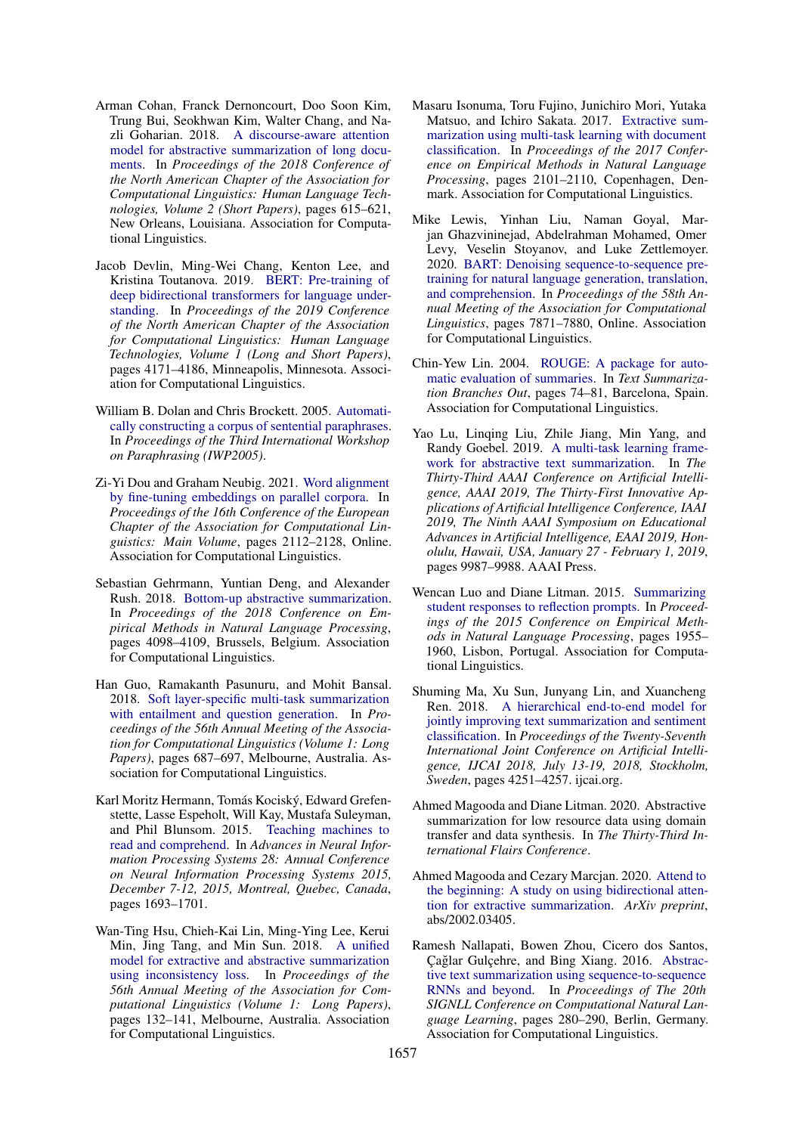- <span id="page-5-12"></span>Arman Cohan, Franck Dernoncourt, Doo Soon Kim, Trung Bui, Seokhwan Kim, Walter Chang, and Nazli Goharian. 2018. [A discourse-aware attention](https://doi.org/10.18653/v1/N18-2097) [model for abstractive summarization of long docu](https://doi.org/10.18653/v1/N18-2097)[ments.](https://doi.org/10.18653/v1/N18-2097) In *Proceedings of the 2018 Conference of the North American Chapter of the Association for Computational Linguistics: Human Language Technologies, Volume 2 (Short Papers)*, pages 615–621, New Orleans, Louisiana. Association for Computational Linguistics.
- <span id="page-5-3"></span>Jacob Devlin, Ming-Wei Chang, Kenton Lee, and Kristina Toutanova. 2019. [BERT: Pre-training of](https://doi.org/10.18653/v1/N19-1423) [deep bidirectional transformers for language under](https://doi.org/10.18653/v1/N19-1423)[standing.](https://doi.org/10.18653/v1/N19-1423) In *Proceedings of the 2019 Conference of the North American Chapter of the Association for Computational Linguistics: Human Language Technologies, Volume 1 (Long and Short Papers)*, pages 4171–4186, Minneapolis, Minnesota. Association for Computational Linguistics.
- <span id="page-5-15"></span>William B. Dolan and Chris Brockett. 2005. [Automati](https://aclanthology.org/I05-5002)[cally constructing a corpus of sentential paraphrases.](https://aclanthology.org/I05-5002) In *Proceedings of the Third International Workshop on Paraphrasing (IWP2005)*.
- <span id="page-5-8"></span>Zi-Yi Dou and Graham Neubig. 2021. [Word alignment](https://aclanthology.org/2021.eacl-main.181) [by fine-tuning embeddings on parallel corpora.](https://aclanthology.org/2021.eacl-main.181) In *Proceedings of the 16th Conference of the European Chapter of the Association for Computational Linguistics: Main Volume*, pages 2112–2128, Online. Association for Computational Linguistics.
- <span id="page-5-2"></span>Sebastian Gehrmann, Yuntian Deng, and Alexander Rush. 2018. [Bottom-up abstractive summarization.](https://doi.org/10.18653/v1/D18-1443) In *Proceedings of the 2018 Conference on Empirical Methods in Natural Language Processing*, pages 4098–4109, Brussels, Belgium. Association for Computational Linguistics.
- <span id="page-5-7"></span>Han Guo, Ramakanth Pasunuru, and Mohit Bansal. 2018. [Soft layer-specific multi-task summarization](https://doi.org/10.18653/v1/P18-1064) [with entailment and question generation.](https://doi.org/10.18653/v1/P18-1064) In *Proceedings of the 56th Annual Meeting of the Association for Computational Linguistics (Volume 1: Long Papers)*, pages 687–697, Melbourne, Australia. Association for Computational Linguistics.
- <span id="page-5-10"></span>Karl Moritz Hermann, Tomás Kociský, Edward Grefenstette, Lasse Espeholt, Will Kay, Mustafa Suleyman, and Phil Blunsom. 2015. [Teaching machines to](https://proceedings.neurips.cc/paper/2015/hash/afdec7005cc9f14302cd0474fd0f3c96-Abstract.html) [read and comprehend.](https://proceedings.neurips.cc/paper/2015/hash/afdec7005cc9f14302cd0474fd0f3c96-Abstract.html) In *Advances in Neural Information Processing Systems 28: Annual Conference on Neural Information Processing Systems 2015, December 7-12, 2015, Montreal, Quebec, Canada*, pages 1693–1701.
- <span id="page-5-4"></span>Wan-Ting Hsu, Chieh-Kai Lin, Ming-Ying Lee, Kerui Min, Jing Tang, and Min Sun. 2018. [A unified](https://doi.org/10.18653/v1/P18-1013) [model for extractive and abstractive summarization](https://doi.org/10.18653/v1/P18-1013) [using inconsistency loss.](https://doi.org/10.18653/v1/P18-1013) In *Proceedings of the 56th Annual Meeting of the Association for Computational Linguistics (Volume 1: Long Papers)*, pages 132–141, Melbourne, Australia. Association for Computational Linguistics.
- <span id="page-5-1"></span>Masaru Isonuma, Toru Fujino, Junichiro Mori, Yutaka Matsuo, and Ichiro Sakata. 2017. [Extractive sum](https://doi.org/10.18653/v1/D17-1223)[marization using multi-task learning with document](https://doi.org/10.18653/v1/D17-1223) [classification.](https://doi.org/10.18653/v1/D17-1223) In *Proceedings of the 2017 Conference on Empirical Methods in Natural Language Processing*, pages 2101–2110, Copenhagen, Denmark. Association for Computational Linguistics.
- <span id="page-5-0"></span>Mike Lewis, Yinhan Liu, Naman Goyal, Marjan Ghazvininejad, Abdelrahman Mohamed, Omer Levy, Veselin Stoyanov, and Luke Zettlemoyer. 2020. [BART: Denoising sequence-to-sequence pre](https://doi.org/10.18653/v1/2020.acl-main.703)[training for natural language generation, translation,](https://doi.org/10.18653/v1/2020.acl-main.703) [and comprehension.](https://doi.org/10.18653/v1/2020.acl-main.703) In *Proceedings of the 58th Annual Meeting of the Association for Computational Linguistics*, pages 7871–7880, Online. Association for Computational Linguistics.
- <span id="page-5-16"></span>Chin-Yew Lin. 2004. [ROUGE: A package for auto](https://aclanthology.org/W04-1013)[matic evaluation of summaries.](https://aclanthology.org/W04-1013) In *Text Summarization Branches Out*, pages 74–81, Barcelona, Spain. Association for Computational Linguistics.
- <span id="page-5-6"></span>Yao Lu, Linqing Liu, Zhile Jiang, Min Yang, and Randy Goebel. 2019. [A multi-task learning frame](https://doi.org/10.1609/aaai.v33i01.33019987)[work for abstractive text summarization.](https://doi.org/10.1609/aaai.v33i01.33019987) In *The Thirty-Third AAAI Conference on Artificial Intelligence, AAAI 2019, The Thirty-First Innovative Applications of Artificial Intelligence Conference, IAAI 2019, The Ninth AAAI Symposium on Educational Advances in Artificial Intelligence, EAAI 2019, Honolulu, Hawaii, USA, January 27 - February 1, 2019*, pages 9987–9988. AAAI Press.
- <span id="page-5-14"></span>Wencan Luo and Diane Litman. 2015. [Summarizing](https://doi.org/10.18653/v1/D15-1227) [student responses to reflection prompts.](https://doi.org/10.18653/v1/D15-1227) In *Proceedings of the 2015 Conference on Empirical Methods in Natural Language Processing*, pages 1955– 1960, Lisbon, Portugal. Association for Computational Linguistics.
- <span id="page-5-5"></span>Shuming Ma, Xu Sun, Junyang Lin, and Xuancheng Ren. 2018. [A hierarchical end-to-end model for](https://doi.org/10.24963/ijcai.2018/591) [jointly improving text summarization and sentiment](https://doi.org/10.24963/ijcai.2018/591) [classification.](https://doi.org/10.24963/ijcai.2018/591) In *Proceedings of the Twenty-Seventh International Joint Conference on Artificial Intelligence, IJCAI 2018, July 13-19, 2018, Stockholm, Sweden*, pages 4251–4257. ijcai.org.
- <span id="page-5-13"></span>Ahmed Magooda and Diane Litman. 2020. Abstractive summarization for low resource data using domain transfer and data synthesis. In *The Thirty-Third International Flairs Conference*.
- <span id="page-5-9"></span>Ahmed Magooda and Cezary Marcjan. 2020. [Attend to](https://arxiv.org/abs/2002.03405) [the beginning: A study on using bidirectional atten](https://arxiv.org/abs/2002.03405)[tion for extractive summarization.](https://arxiv.org/abs/2002.03405) *ArXiv preprint*, abs/2002.03405.
- <span id="page-5-11"></span>Ramesh Nallapati, Bowen Zhou, Cicero dos Santos, Çağlar Gulçehre, and Bing Xiang. 2016. [Abstrac](https://doi.org/10.18653/v1/K16-1028)[tive text summarization using sequence-to-sequence](https://doi.org/10.18653/v1/K16-1028) [RNNs and beyond.](https://doi.org/10.18653/v1/K16-1028) In *Proceedings of The 20th SIGNLL Conference on Computational Natural Language Learning*, pages 280–290, Berlin, Germany. Association for Computational Linguistics.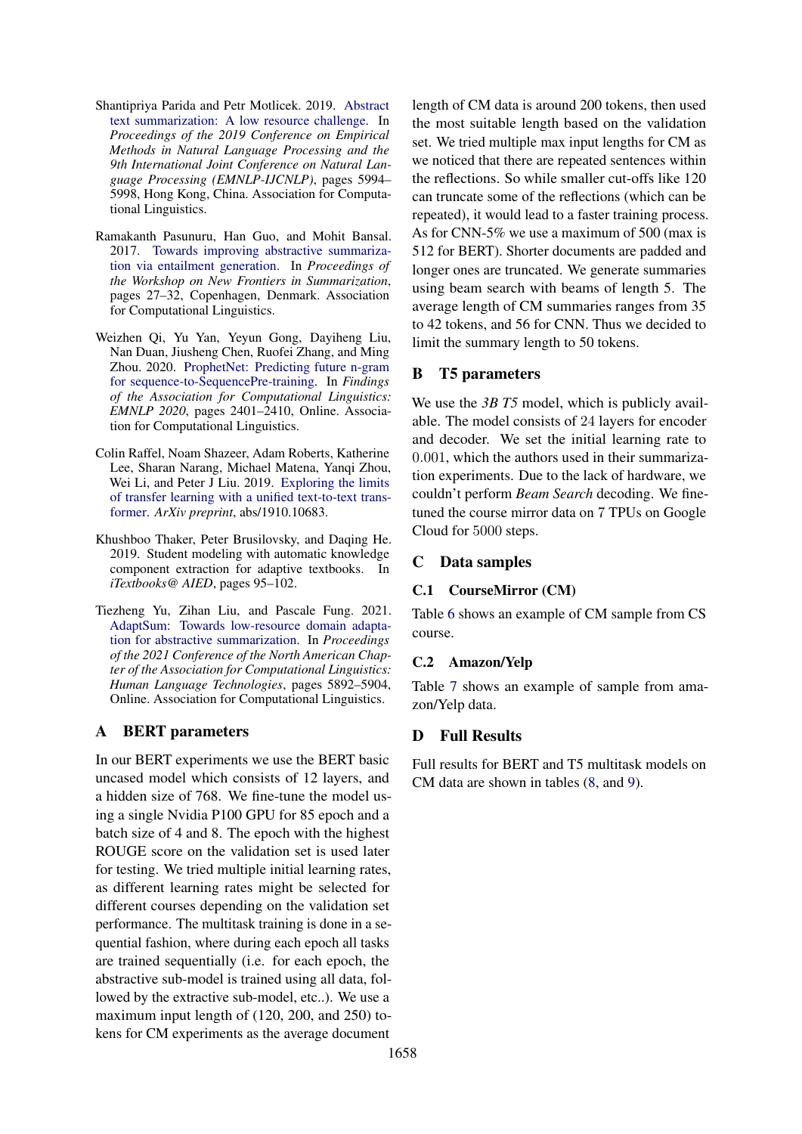- <span id="page-6-2"></span>Shantipriya Parida and Petr Motlicek. 2019. [Abstract](https://doi.org/10.18653/v1/D19-1616) [text summarization: A low resource challenge.](https://doi.org/10.18653/v1/D19-1616) In *Proceedings of the 2019 Conference on Empirical Methods in Natural Language Processing and the 9th International Joint Conference on Natural Language Processing (EMNLP-IJCNLP)*, pages 5994– 5998, Hong Kong, China. Association for Computational Linguistics.
- <span id="page-6-1"></span>Ramakanth Pasunuru, Han Guo, and Mohit Bansal. 2017. [Towards improving abstractive summariza](https://doi.org/10.18653/v1/W17-4504)[tion via entailment generation.](https://doi.org/10.18653/v1/W17-4504) In *Proceedings of the Workshop on New Frontiers in Summarization*, pages 27–32, Copenhagen, Denmark. Association for Computational Linguistics.
- <span id="page-6-4"></span>Weizhen Qi, Yu Yan, Yeyun Gong, Dayiheng Liu, Nan Duan, Jiusheng Chen, Ruofei Zhang, and Ming Zhou. 2020. [ProphetNet: Predicting future n-gram](https://doi.org/10.18653/v1/2020.findings-emnlp.217) [for sequence-to-SequencePre-training.](https://doi.org/10.18653/v1/2020.findings-emnlp.217) In *Findings of the Association for Computational Linguistics: EMNLP 2020*, pages 2401–2410, Online. Association for Computational Linguistics.
- <span id="page-6-0"></span>Colin Raffel, Noam Shazeer, Adam Roberts, Katherine Lee, Sharan Narang, Michael Matena, Yanqi Zhou, Wei Li, and Peter J Liu. 2019. [Exploring the limits](https://arxiv.org/abs/1910.10683) [of transfer learning with a unified text-to-text trans](https://arxiv.org/abs/1910.10683)[former.](https://arxiv.org/abs/1910.10683) *ArXiv preprint*, abs/1910.10683.
- <span id="page-6-5"></span>Khushboo Thaker, Peter Brusilovsky, and Daqing He. 2019. Student modeling with automatic knowledge component extraction for adaptive textbooks. In *iTextbooks@ AIED*, pages 95–102.
- <span id="page-6-3"></span>Tiezheng Yu, Zihan Liu, and Pascale Fung. 2021. [AdaptSum: Towards low-resource domain adapta](https://doi.org/10.18653/v1/2021.naacl-main.471)[tion for abstractive summarization.](https://doi.org/10.18653/v1/2021.naacl-main.471) In *Proceedings of the 2021 Conference of the North American Chapter of the Association for Computational Linguistics: Human Language Technologies*, pages 5892–5904, Online. Association for Computational Linguistics.

# A BERT parameters

In our BERT experiments we use the BERT basic uncased model which consists of 12 layers, and a hidden size of 768. We fine-tune the model using a single Nvidia P100 GPU for 85 epoch and a batch size of 4 and 8. The epoch with the highest ROUGE score on the validation set is used later for testing. We tried multiple initial learning rates, as different learning rates might be selected for different courses depending on the validation set performance. The multitask training is done in a sequential fashion, where during each epoch all tasks are trained sequentially (i.e. for each epoch, the abstractive sub-model is trained using all data, followed by the extractive sub-model, etc..). We use a maximum input length of (120, 200, and 250) tokens for CM experiments as the average document

length of CM data is around 200 tokens, then used the most suitable length based on the validation set. We tried multiple max input lengths for CM as we noticed that there are repeated sentences within the reflections. So while smaller cut-offs like 120 can truncate some of the reflections (which can be repeated), it would lead to a faster training process. As for CNN-5% we use a maximum of 500 (max is 512 for BERT). Shorter documents are padded and longer ones are truncated. We generate summaries using beam search with beams of length 5. The average length of CM summaries ranges from 35 to 42 tokens, and 56 for CNN. Thus we decided to limit the summary length to 50 tokens.

# B T5 parameters

We use the 3*B T5* model, which is publicly available. The model consists of 24 layers for encoder and decoder. We set the initial learning rate to 0.001, which the authors used in their summarization experiments. Due to the lack of hardware, we couldn't perform *Beam Search* decoding. We finetuned the course mirror data on 7 TPUs on Google Cloud for 5000 steps.

## C Data samples

## C.1 CourseMirror (CM)

Table [6](#page-7-0) shows an example of CM sample from CS course.

## C.2 Amazon/Yelp

Table [7](#page-8-0) shows an example of sample from amazon/Yelp data.

# D Full Results

Full results for BERT and T5 multitask models on CM data are shown in tables [\(8,](#page-8-1) and [9\)](#page-9-0).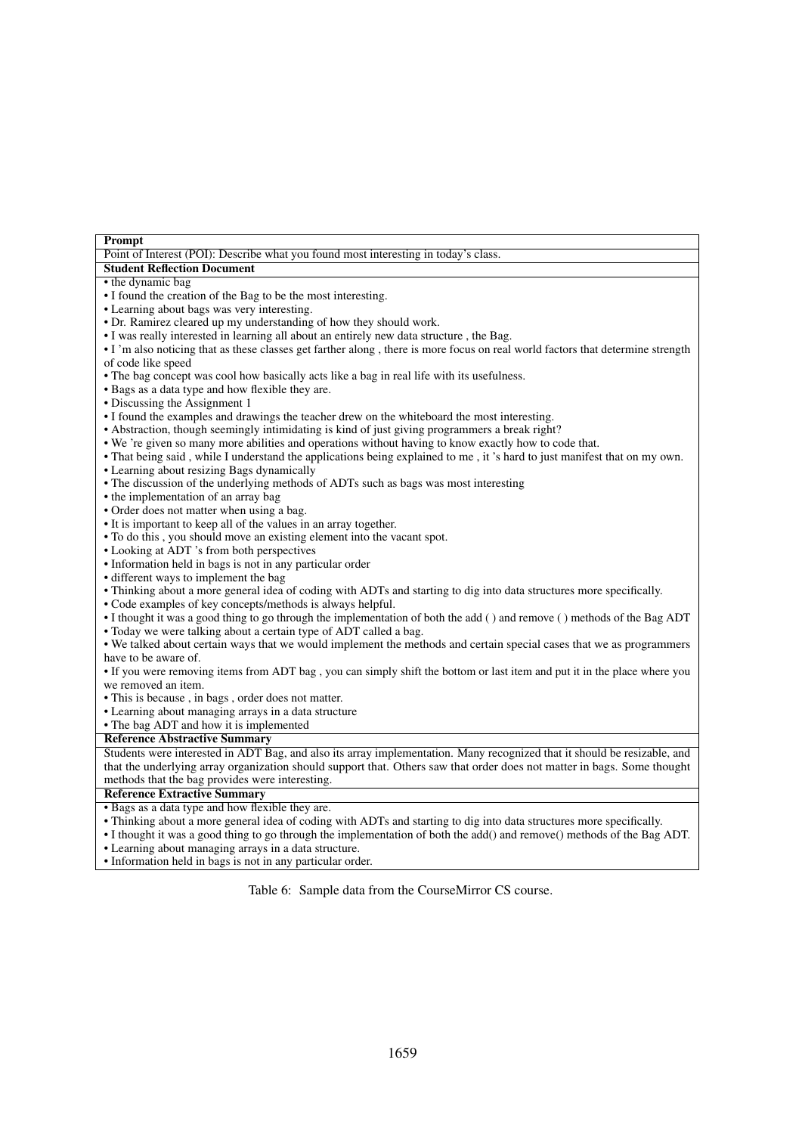<span id="page-7-0"></span>

| Prompt                                                                                                                         |
|--------------------------------------------------------------------------------------------------------------------------------|
| Point of Interest (POI): Describe what you found most interesting in today's class.                                            |
| <b>Student Reflection Document</b>                                                                                             |
| • the dynamic bag                                                                                                              |
| • I found the creation of the Bag to be the most interesting.                                                                  |
| • Learning about bags was very interesting.                                                                                    |
| • Dr. Ramirez cleared up my understanding of how they should work.                                                             |
| • I was really interested in learning all about an entirely new data structure, the Bag.                                       |
| • I'm also noticing that as these classes get farther along, there is more focus on real world factors that determine strength |
| of code like speed                                                                                                             |
| • The bag concept was cool how basically acts like a bag in real life with its usefulness.                                     |
| • Bags as a data type and how flexible they are.                                                                               |
| • Discussing the Assignment 1                                                                                                  |
| • I found the examples and drawings the teacher drew on the whiteboard the most interesting.                                   |
| • Abstraction, though seemingly intimidating is kind of just giving programmers a break right?                                 |
| . We 're given so many more abilities and operations without having to know exactly how to code that.                          |
| • That being said, while I understand the applications being explained to me, it's hard to just manifest that on my own.       |
| • Learning about resizing Bags dynamically                                                                                     |
| • The discussion of the underlying methods of ADTs such as bags was most interesting                                           |
| • the implementation of an array bag                                                                                           |
| • Order does not matter when using a bag.                                                                                      |
| • It is important to keep all of the values in an array together.                                                              |
| • To do this, you should move an existing element into the vacant spot.                                                        |
| • Looking at ADT 's from both perspectives                                                                                     |
| • Information held in bags is not in any particular order                                                                      |
| • different ways to implement the bag                                                                                          |
| • Thinking about a more general idea of coding with ADTs and starting to dig into data structures more specifically.           |
| • Code examples of key concepts/methods is always helpful.                                                                     |
| • I thought it was a good thing to go through the implementation of both the add () and remove () methods of the Bag ADT       |
| • Today we were talking about a certain type of ADT called a bag.                                                              |
| • We talked about certain ways that we would implement the methods and certain special cases that we as programmers            |
| have to be aware of.                                                                                                           |
| • If you were removing items from ADT bag, you can simply shift the bottom or last item and put it in the place where you      |
| we removed an item.                                                                                                            |
| • This is because, in bags, order does not matter.                                                                             |
| • Learning about managing arrays in a data structure                                                                           |
| • The bag ADT and how it is implemented                                                                                        |
| <b>Reference Abstractive Summary</b>                                                                                           |
| Students were interested in ADT Bag, and also its array implementation. Many recognized that it should be resizable, and       |
| that the underlying array organization should support that. Others saw that order does not matter in bags. Some thought        |
| methods that the bag provides were interesting.                                                                                |
| <b>Reference Extractive Summary</b>                                                                                            |
| • Bags as a data type and how flexible they are.                                                                               |
| • Thinking about a more general idea of coding with ADTs and starting to dig into data structures more specifically.           |
| • I thought it was a good thing to go through the implementation of both the add() and remove() methods of the Bag ADT.        |
| • Learning about managing arrays in a data structure.                                                                          |

• Information held in bags is not in any particular order.

Table 6: Sample data from the CourseMirror CS course.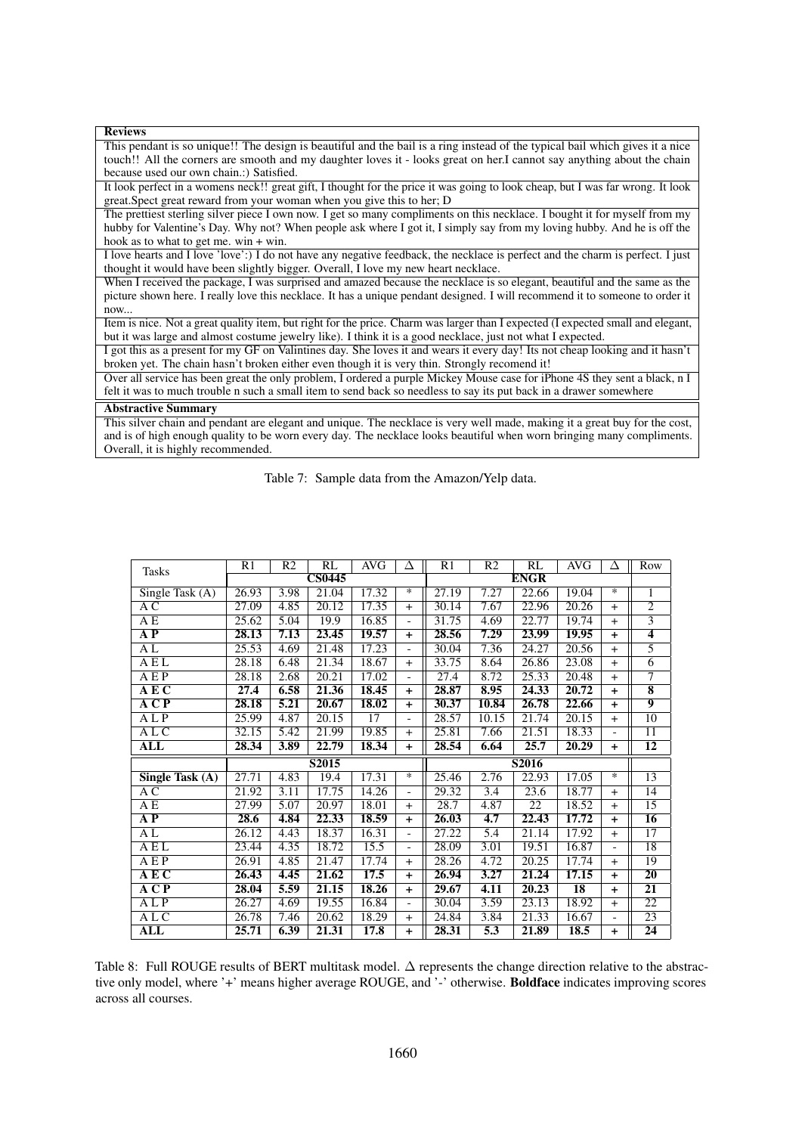<span id="page-8-0"></span>

| <b>Reviews</b>                                                                                                                   |
|----------------------------------------------------------------------------------------------------------------------------------|
| This pendant is so unique!! The design is beautiful and the bail is a ring instead of the typical bail which gives it a nice     |
| touch!! All the corners are smooth and my daughter loves it - looks great on her.I cannot say anything about the chain           |
| because used our own chain.:) Satisfied.                                                                                         |
| It look perfect in a womens neck!! great gift, I thought for the price it was going to look cheap, but I was far wrong. It look  |
| great. Spect great reward from your woman when you give this to her; D                                                           |
| The prettiest sterling silver piece I own now. I get so many compliments on this necklace. I bought it for myself from my        |
| hubby for Valentine's Day. Why not? When people ask where I got it, I simply say from my loving hubby. And he is off the         |
| hook as to what to get me. win $+$ win.                                                                                          |
| I love hearts and I love 'love':) I do not have any negative feedback, the necklace is perfect and the charm is perfect. I just  |
| thought it would have been slightly bigger. Overall, I love my new heart necklace.                                               |
| When I received the package, I was surprised and amazed because the necklace is so elegant, beautiful and the same as the        |
| picture shown here. I really love this necklace. It has a unique pendant designed. I will recommend it to someone to order it    |
| now                                                                                                                              |
| Item is nice. Not a great quality item, but right for the price. Charm was larger than I expected (I expected small and elegant, |
| but it was large and almost costume jewelry like). I think it is a good necklace, just not what I expected.                      |
| I got this as a present for my GF on Valintines day. She loves it and wears it every day! Its not cheap looking and it hasn't    |
| broken yet. The chain hasn't broken either even though it is very thin. Strongly recomend it!                                    |
| Over all service has been great the only problem, I ordered a purple Mickey Mouse case for iPhone 4S they sent a black, n I      |
| felt it was to much trouble n such a small item to send back so needless to say its put back in a drawer somewhere               |
| <b>Abstractive Summary</b>                                                                                                       |
| This silver chain and pendant are elegant and unique. The necklace is very well made, making it a great buy for the cost,        |
| and is of high enough quality to be worn every day. The necklace looks beautiful when worn bringing many compliments.            |
| Overall, it is highly recommended.                                                                                               |

Table 7: Sample data from the Amazon/Yelp data.

<span id="page-8-1"></span>

| <b>Tasks</b>                             | R1    | R <sub>2</sub> | RL            | <b>AVG</b> | Δ                        | R1    | R <sub>2</sub>   | RL                 | <b>AVG</b>      | Δ              | Row                |
|------------------------------------------|-------|----------------|---------------|------------|--------------------------|-------|------------------|--------------------|-----------------|----------------|--------------------|
|                                          |       |                | <b>CS0445</b> |            |                          |       |                  | <b>ENGR</b>        |                 |                |                    |
| Single Task $(A)$                        | 26.93 | 3.98           | 21.04         | 17.32      | *                        | 27.19 | 7.27             | 22.66              | 19.04           | *              | 1                  |
| A C                                      | 27.09 | 4.85           | 20.12         | 17.35      | $+$                      | 30.14 | 7.67             | 22.96              | 20.26           | $+$            | $\overline{2}$     |
| A E                                      | 25.62 | 5.04           | 19.9          | 16.85      | $\overline{a}$           | 31.75 | 4.69             | 22.77              | 19.74           | $+$            | $\overline{3}$     |
| A P                                      | 28.13 | 7.13           | 23.45         | 19.57      | $\ddot{}$                | 28.56 | 7.29             | 23.99              | 19.95           | $\ddot{}$      | $\overline{4}$     |
| AL                                       | 25.53 | 4.69           | 21.48         | 17.23      |                          | 30.04 | 7.36             | 24.27              | 20.56           | $+$            | $\overline{5}$     |
| AEL                                      | 28.18 | 6.48           | 21.34         | 18.67      | $+$                      | 33.75 | 8.64             | 26.86              | 23.08           | $+$            | $\overline{6}$     |
| A E P                                    | 28.18 | 2.68           | 20.21         | 17.02      | $\overline{a}$           | 27.4  | 8.72             | 25.33              | 20.48           | $+$            | 7                  |
| AEC                                      | 27.4  | 6.58           | 21.36         | 18.45      | $\ddot{}$                | 28.87 | 8.95             | $\overline{24.33}$ | 20.72           | $+$            | $\overline{\bf 8}$ |
| $\overline{A} \overline{C} \overline{P}$ | 28.18 | 5.21           | 20.67         | 18.02      | $+$                      | 30.37 | 10.84            | 26.78              | 22.66           | $+$            | $\overline{9}$     |
| A L P                                    | 25.99 | 4.87           | 20.15         | 17         | $\overline{\phantom{0}}$ | 28.57 | 10.15            | 21.74              | 20.15           | $+$            | 10                 |
| A L C                                    | 32.15 | 5.42           | 21.99         | 19.85      | $+$                      | 25.81 | 7.66             | 21.51              | 18.33           | $\overline{a}$ | $\overline{11}$    |
| $\overline{\text{ALL}}$                  | 28.34 | 3.89           | 22.79         | 18.34      | $+$                      | 28.54 | 6.64             | 25.7               | 20.29           | $+$            | $\overline{12}$    |
|                                          |       |                | S2015         |            |                          | S2016 |                  |                    |                 |                |                    |
| Single Task (A)                          | 27.71 | 4.83           | 19.4          | 17.31      | *                        | 25.46 | 2.76             | 22.93              | 17.05           | $\ast$         | 13                 |
| AC                                       | 21.92 | 3.11           | 17.75         | 14.26      | $\overline{\phantom{a}}$ | 29.32 | $\overline{3.4}$ | 23.6               | 18.77           | $+$            | $\overline{14}$    |
| A E                                      | 27.99 | 5.07           | 20.97         | 18.01      | $+$                      | 28.7  | 4.87             | 22                 | 18.52           | $+$            | 15                 |
| A P                                      | 28.6  | 4.84           | 22.33         | 18.59      | $\ddot{}$                | 26.03 | 4.7              | 22.43              | 17.72           | $\ddot{}$      | 16                 |
| AL                                       | 26.12 | 4.43           | 18.37         | 16.31      |                          | 27.22 | 5.4              | 21.14              | 17.92           | $+$            | $\overline{17}$    |
| AEL                                      | 23.44 | 4.35           | 18.72         | 15.5       | $\overline{\phantom{a}}$ | 28.09 | 3.01             | 19.51              | 16.87           |                | 18                 |
| A E P                                    | 26.91 | 4.85           | 21.47         | 17.74      | $+$                      | 28.26 | 4.72             | 20.25              | 17.74           | $+$            | 19                 |
| $\overline{A}$ E C                       | 26.43 | 4.45           | 21.62         | 17.5       | $+$                      | 26.94 | 3.27             | 21.24              | 17.15           | $+$            | $\overline{20}$    |
| A C P                                    | 28.04 | 5.59           | 21.15         | 18.26      | $\ddagger$               | 29.67 | 4.11             | 20.23              | $\overline{18}$ | $+$            | $\overline{21}$    |
| ALP                                      | 26.27 | 4.69           | 19.55         | 16.84      | $\overline{a}$           | 30.04 | 3.59             | 23.13              | 18.92           | $+$            | $\overline{22}$    |
| A LC                                     | 26.78 | 7.46           | 20.62         | 18.29      | $+$                      | 24.84 | 3.84             | 21.33              | 16.67           |                | $\overline{23}$    |
| <b>ALL</b>                               | 25.71 | 6.39           | 21.31         | 17.8       | $\ddot{}$                | 28.31 | 5.3              | 21.89              | 18.5            | $+$            | 24                 |

Table 8: Full ROUGE results of BERT multitask model. ∆ represents the change direction relative to the abstractive only model, where '+' means higher average ROUGE, and '-' otherwise. Boldface indicates improving scores across all courses.